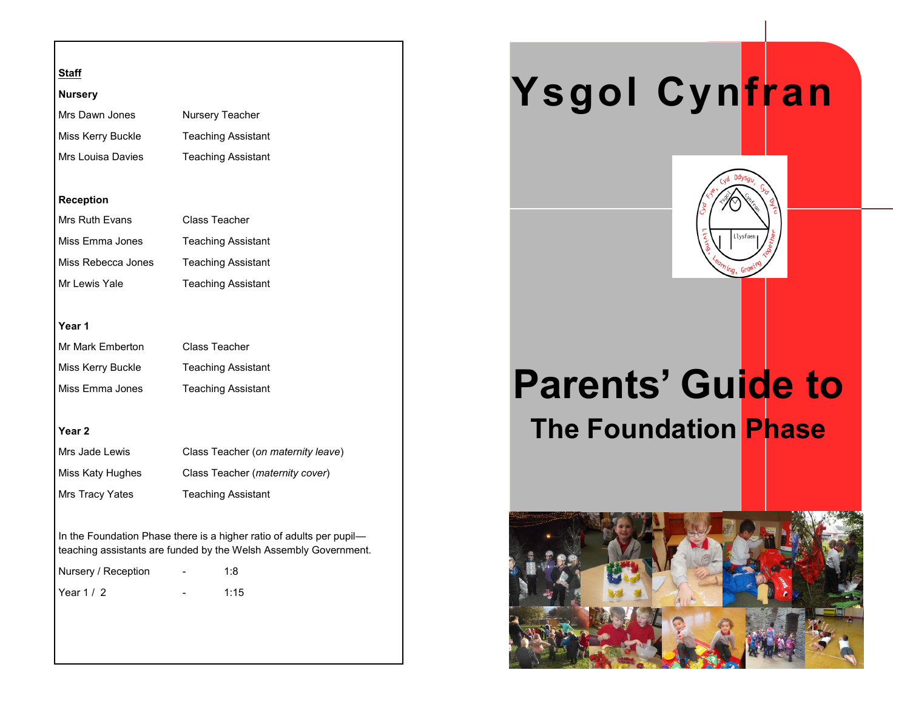# **Staff**

## **Nursery**

| Mrs Dawn Jones    | Nursery Teacher           |  |
|-------------------|---------------------------|--|
| Miss Kerry Buckle | <b>Teaching Assistant</b> |  |
| Mrs Louisa Davies | <b>Teaching Assistant</b> |  |

### **Reception**

| Mrs Ruth Evans     | Class Teacher             |  |
|--------------------|---------------------------|--|
| Miss Emma Jones    | <b>Teaching Assistant</b> |  |
| Miss Rebecca Jones | <b>Teaching Assistant</b> |  |
| Mr Lewis Yale      | <b>Teaching Assistant</b> |  |

### **Year 1**

| Mr Mark Emberton  | Class Teacher             |  |
|-------------------|---------------------------|--|
| Miss Kerry Buckle | <b>Teaching Assistant</b> |  |
| Miss Emma Jones   | <b>Teaching Assistant</b> |  |

# **Year 2**

| Mrs Jade Lewis         | Class Teacher (on maternity leave)       |
|------------------------|------------------------------------------|
| Miss Katy Hughes       | Class Teacher ( <i>maternity cover</i> ) |
| <b>Mrs Tracy Yates</b> | <b>Teaching Assistant</b>                |

In the Foundation Phase there is a higher ratio of adults per pupil teaching assistants are funded by the Welsh Assembly Government.

| Nursery / Reception | - | 1:8  |
|---------------------|---|------|
| Year $1/2$          |   | 1:15 |

# **Ysgol Cynfran**



# **Parents' Guide to The Foundation Phase**